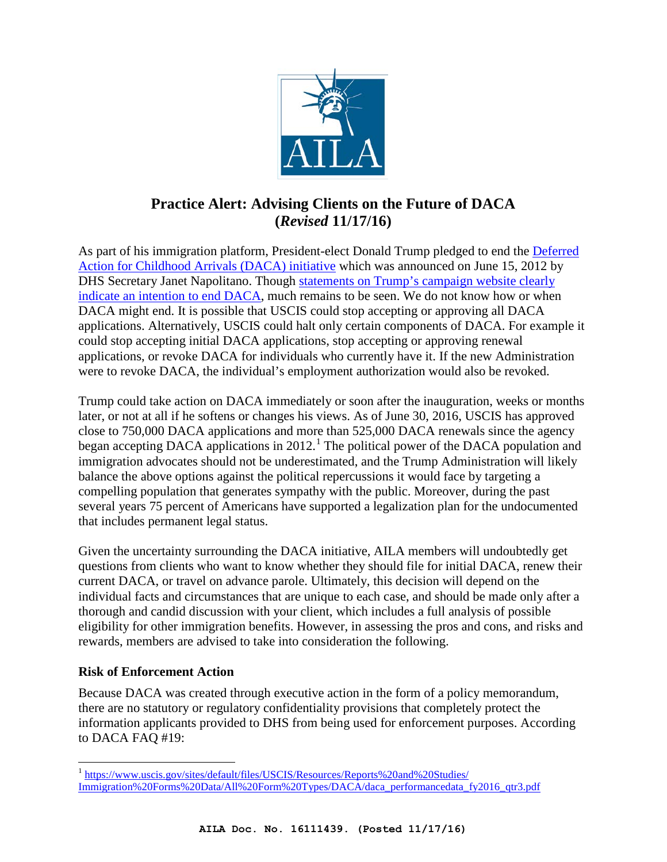

# **Practice Alert: Advising Clients on the Future of DACA (***Revised* **11/17/16)**

As part of his immigration platform, President-elect Donald Trump pledged to end the Deferred [Action for Childhood Arrivals \(DACA\) initiative](http://www.aila.org/infonet/dhs-deferred-action-process-certain-young-people) which was announced on June 15, 2012 by DHS Secretary Janet Napolitano. Though statements on Trump's [campaign website clearly](https://www.donaldjtrump.com/policies/immigration)  [indicate an intention to end DACA,](https://www.donaldjtrump.com/policies/immigration) much remains to be seen. We do not know how or when DACA might end. It is possible that USCIS could stop accepting or approving all DACA applications. Alternatively, USCIS could halt only certain components of DACA. For example it could stop accepting initial DACA applications, stop accepting or approving renewal applications, or revoke DACA for individuals who currently have it. If the new Administration were to revoke DACA, the individual's employment authorization would also be revoked.

Trump could take action on DACA immediately or soon after the inauguration, weeks or months later, or not at all if he softens or changes his views. As of June 30, 2016, USCIS has approved close to 750,000 DACA applications and more than 525,000 DACA renewals since the agency began accepting DACA applications in 20[1](#page-0-0)2.<sup>1</sup> The political power of the DACA population and immigration advocates should not be underestimated, and the Trump Administration will likely balance the above options against the political repercussions it would face by targeting a compelling population that generates sympathy with the public. Moreover, during the past several years 75 percent of Americans have supported a legalization plan for the undocumented that includes permanent legal status.

Given the uncertainty surrounding the DACA initiative, AILA members will undoubtedly get questions from clients who want to know whether they should file for initial DACA, renew their current DACA, or travel on advance parole. Ultimately, this decision will depend on the individual facts and circumstances that are unique to each case, and should be made only after a thorough and candid discussion with your client, which includes a full analysis of possible eligibility for other immigration benefits. However, in assessing the pros and cons, and risks and rewards, members are advised to take into consideration the following.

## **Risk of Enforcement Action**

l

Because DACA was created through executive action in the form of a policy memorandum, there are no statutory or regulatory confidentiality provisions that completely protect the information applicants provided to DHS from being used for enforcement purposes. According to DACA FAQ #19:

<span id="page-0-0"></span><sup>&</sup>lt;sup>1</sup> [https://www.uscis.gov/sites/default/files/USCIS/Resources/Reports%20and%20Studies/](https://www.uscis.gov/sites/default/files/USCIS/Resources/Reports%20and%20Studies/Immigration%20Forms%20Data/All%20Form%20Types/DACA/daca_performancedata_fy2016_qtr3.pdf) [Immigration%20Forms%20Data/All%20Form%20Types/DACA/daca\\_performancedata\\_fy2016\\_qtr3.pdf](https://www.uscis.gov/sites/default/files/USCIS/Resources/Reports%20and%20Studies/Immigration%20Forms%20Data/All%20Form%20Types/DACA/daca_performancedata_fy2016_qtr3.pdf)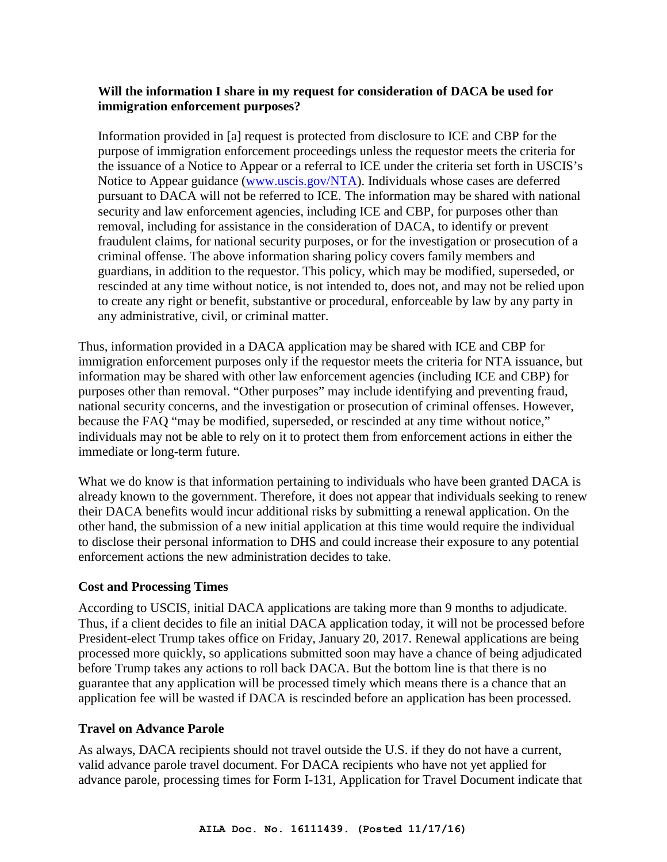#### **Will the information I share in my request for consideration of DACA be used for immigration enforcement purposes?**

Information provided in [a] request is protected from disclosure to ICE and CBP for the purpose of immigration enforcement proceedings unless the requestor meets the criteria for the issuance of a Notice to Appear or a referral to ICE under the criteria set forth in USCIS's Notice to Appear guidance [\(www.uscis.gov/NTA\)](http://www.uscis.gov/NTA). Individuals whose cases are deferred pursuant to DACA will not be referred to ICE. The information may be shared with national security and law enforcement agencies, including ICE and CBP, for purposes other than removal, including for assistance in the consideration of DACA, to identify or prevent fraudulent claims, for national security purposes, or for the investigation or prosecution of a criminal offense. The above information sharing policy covers family members and guardians, in addition to the requestor. This policy, which may be modified, superseded, or rescinded at any time without notice, is not intended to, does not, and may not be relied upon to create any right or benefit, substantive or procedural, enforceable by law by any party in any administrative, civil, or criminal matter.

Thus, information provided in a DACA application may be shared with ICE and CBP for immigration enforcement purposes only if the requestor meets the criteria for NTA issuance, but information may be shared with other law enforcement agencies (including ICE and CBP) for purposes other than removal. "Other purposes" may include identifying and preventing fraud, national security concerns, and the investigation or prosecution of criminal offenses. However, because the FAQ "may be modified, superseded, or rescinded at any time without notice," individuals may not be able to rely on it to protect them from enforcement actions in either the immediate or long-term future.

What we do know is that information pertaining to individuals who have been granted DACA is already known to the government. Therefore, it does not appear that individuals seeking to renew their DACA benefits would incur additional risks by submitting a renewal application. On the other hand, the submission of a new initial application at this time would require the individual to disclose their personal information to DHS and could increase their exposure to any potential enforcement actions the new administration decides to take.

## **Cost and Processing Times**

According to USCIS, initial DACA applications are taking more than 9 months to adjudicate. Thus, if a client decides to file an initial DACA application today, it will not be processed before President-elect Trump takes office on Friday, January 20, 2017. Renewal applications are being processed more quickly, so applications submitted soon may have a chance of being adjudicated before Trump takes any actions to roll back DACA. But the bottom line is that there is no guarantee that any application will be processed timely which means there is a chance that an application fee will be wasted if DACA is rescinded before an application has been processed.

#### **Travel on Advance Parole**

As always, DACA recipients should not travel outside the U.S. if they do not have a current, valid advance parole travel document. For DACA recipients who have not yet applied for advance parole, processing times for Form I-131, Application for Travel Document indicate that